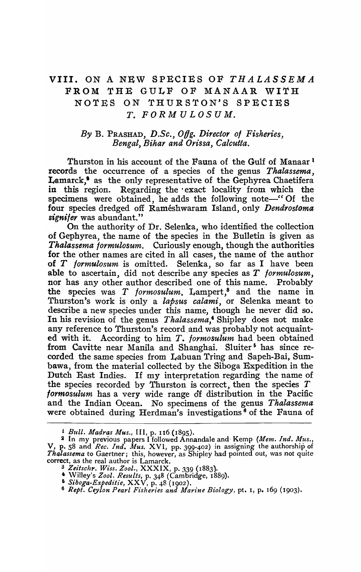## VIII. ON A NEW SPECIES OF *THALASSEMA*  FROM THE GULF OF MANAAR WITH NOTES ON THURSTON'S SPECIES *T. FORMULOSUM.*

## *By* B. PRASHAD, *D.Se., 0tfg. Director of Fisheries, Bengal, Bihar and Orissa, Calcutta.*

Thurston in his account of the Fauna of the Gulf of Manaar 1 records the occurrence of a species of the genus *Thalassema,*  Lamarck,<sup>8</sup> as the only representative of the Gephyrea Chaetifera in this region. Regarding the · exact locality from which the specimens were obtained, he adds the following note-" Of the four species dredged off Rameshwaram Island, only *Dendrostoma signifer* was abundant."

On the authority of Dr. Selenka, who identified the collection of Gephyrea, the name of the species in the Bulletin is given as *Thalassema formulosum.* Curiously enough, though the authorities for the other names are cited in all cases, the name of the author of *T lormulosum* is omitted. Selenka, so far as I have been able to ascertain, did not describe any species as *T lormulosum,*  nor has any other author described one of this name. Probably the species was *T formosulum*. Lampert,<sup>8</sup> and the name in Thurston's work is only a *lapsus calami*, or Selenka meant to describe a new species under this name, though he never did so. In his revision of the genus *Thalassema,·* Shipley does not make any reference to Thurston's record and was probably not acquainted with it. According to him *T. formosulum* had been obtained from Cavitte near Manila and Shanghai. Sluiter<sup>5</sup> has since recorded the same species from Labuan Tring and Sapeh-Bai, Sumbawa, from the material collected by the Sihoga Expedition in the Dutch East Indies. If my interpretation regarding the name of the species recorded by Thurston is correct, then the species  $T$ *formosulum* has a very wide range of distribution in the Pacific and the Indian Ocean. No specimens of the genus *Thalassema* were obtained during Herdman's investigations<sup>6</sup> of the Fauna of

*L Bull. Madras Mus.,* III, p. I16 (1895).

<sup>2</sup> In my previous papers I followed Annandale and· Kemp *(Mem. Ind. Mus.,*  V, p. 58 and *Rec. Ind. Mus.* XVI, pp. 399-402) in assigning the authorship of *Thalassema* to Gaertner; this, however, as Shipley had pointed out, was not quite correct, as the real author is Lamarck.

*<sup>3</sup> Zeitsclzr. Wiss. Zool.,* XXXIX, p. 339 (1883).

<sup>• \</sup>ViUey's *Zool. Results,* p. 348 (Cambridge, 1889).

<sup>6</sup>*Siboga-Expeditie,* XXV, p. 48 (1902).

*<sup>6</sup> Rept. Ceylon Pearl Fisheries and Marine Biology,* pt. I, p. 169 (1903).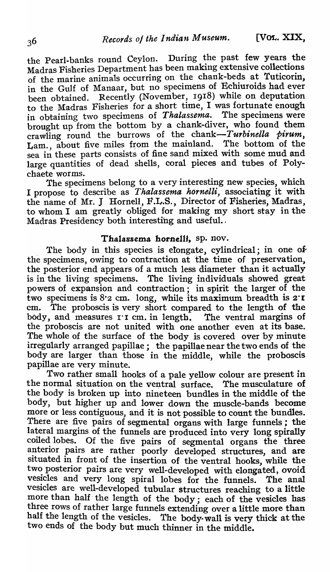the Pearl-banks round Ceylon. During the past few years the Madras Fisheries Department has been making extensive collections of the marine animals occurring on the chank-beds at Tuticorin, in the Gulf of Manaar, but no specimens of Echiuroids had ever been obtained. Recently (November, 1918) while on deputation to the Madras Fisheries for a short time, I was fortunate enough in obtaining two specimens of *Thalassema*. The specimens were brought up from the bottom by a chank-diver, who found them crawling round the burrows of the chank-Turbinella pirum, Lam., about five miles from the mainland. The bottom of the sea in these parts consists of fine sand mixed with some mud and large quantities of dead shells, coral pieces and tubes of Polychaete worms.

The specimens belong to a very interesting new species, which I propose to describe as *Thalassema hornelli,* associating it with the name of Mr. J Hornell, F.L.S., Director of Fisheries, Madras, to whom I am greatly obliged for making my short stay in the Madras Presidency both interesting and useful..

## Thalassema hornelli, sp. nov.

The body in this species is elongate, cylindrical; in one of the specimens, owing to contraction at 'the time of preservation, the posterior end appears of a much less diameter than it actually is in the living specimens. The living individuals showed great powers of expansion and contraction; in spirit the larger of the two specimens is 8·2 cm. long, while its maximum breadth is 2"I cm. The proboscis is very short compared to the length of the body, and measures 1.1 cm. in length. The ventral margins of the proboscis are not united with one another even at its base. The whole of the surface of the body is covered over by minute irregularly arranged papillae; the papillae near the two ends of the body are larger than those in the middle, while the proboscis papillae are very minute.

Two rather small hooks of a pale yellow colour are present in the normal situation on the ventral surface. The musculature of the body is broken up into nineteen bundles in the middle of the body, but higher up and lower down the muscle-bands become more or less contiguous, and it is not possible to count the bundles. There are five pairs of segmental organs with large funnels; the lateral margins of the funnels are produced into very long spirally coiled lobes. Of the five pairs of segmental organs the three anterior pairs are rather poorly developed structures, and are situated in front of the insertion of the ventral hooks, while the two posterior pairs are very well-developed with elongated, ovoid vesicles and very long spiral lobes for the funnels. The anal vesicles are well-developed tubular structures reaching to a little more than half' the length of the body; each of the vesicles has three rows of rather large funnels extending over a little more than half the length of the vesicles. The body-wall is very thick at the two ends of the body but much thinner in the middle.